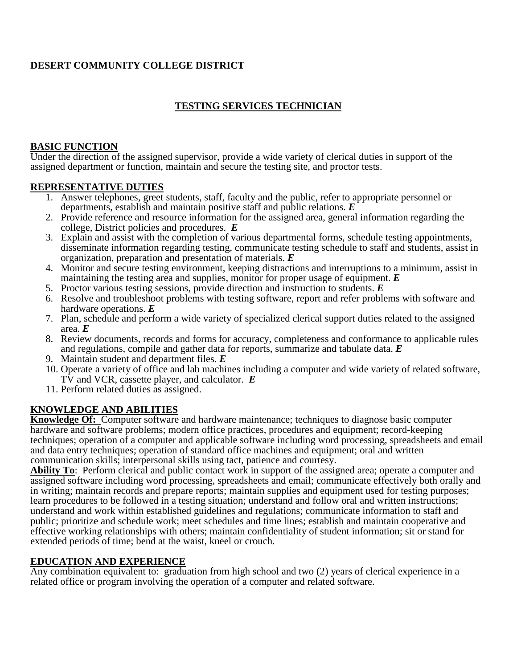### **DESERT COMMUNITY COLLEGE DISTRICT**

### **TESTING SERVICES TECHNICIAN**

#### **BASIC FUNCTION**

Under the direction of the assigned supervisor, provide a wide variety of clerical duties in support of the assigned department or function, maintain and secure the testing site, and proctor tests.

#### **REPRESENTATIVE DUTIES**

- 1. Answer telephones, greet students, staff, faculty and the public, refer to appropriate personnel or departments, establish and maintain positive staff and public relations. *E*
- 2. Provide reference and resource information for the assigned area, general information regarding the college, District policies and procedures. *E*
- 3. Explain and assist with the completion of various departmental forms, schedule testing appointments, disseminate information regarding testing, communicate testing schedule to staff and students, assist in organization, preparation and presentation of materials. *E*
- 4. Monitor and secure testing environment, keeping distractions and interruptions to a minimum, assist in maintaining the testing area and supplies, monitor for proper usage of equipment. *E*
- 5. Proctor various testing sessions, provide direction and instruction to students. *E*
- 6. Resolve and troubleshoot problems with testing software, report and refer problems with software and hardware operations. *E*
- 7. Plan, schedule and perform a wide variety of specialized clerical support duties related to the assigned area. *E*
- 8. Review documents, records and forms for accuracy, completeness and conformance to applicable rules and regulations, compile and gather data for reports, summarize and tabulate data. *E*
- 9. Maintain student and department files. *E*
- 10. Operate a variety of office and lab machines including a computer and wide variety of related software, TV and VCR, cassette player, and calculator. *E*
- 11. Perform related duties as assigned.

### **KNOWLEDGE AND ABILITIES**

**Knowledge Of:** Computer software and hardware maintenance; techniques to diagnose basic computer hardware and software problems; modern office practices, procedures and equipment; record-keeping techniques; operation of a computer and applicable software including word processing, spreadsheets and email and data entry techniques; operation of standard office machines and equipment; oral and written communication skills; interpersonal skills using tact, patience and courtesy.

**Ability To**: Perform clerical and public contact work in support of the assigned area; operate a computer and assigned software including word processing, spreadsheets and email; communicate effectively both orally and in writing; maintain records and prepare reports; maintain supplies and equipment used for testing purposes; learn procedures to be followed in a testing situation; understand and follow oral and written instructions; understand and work within established guidelines and regulations; communicate information to staff and public; prioritize and schedule work; meet schedules and time lines; establish and maintain cooperative and effective working relationships with others; maintain confidentiality of student information; sit or stand for extended periods of time; bend at the waist, kneel or crouch.

### **EDUCATION AND EXPERIENCE**

Any combination equivalent to: graduation from high school and two (2) years of clerical experience in a related office or program involving the operation of a computer and related software.